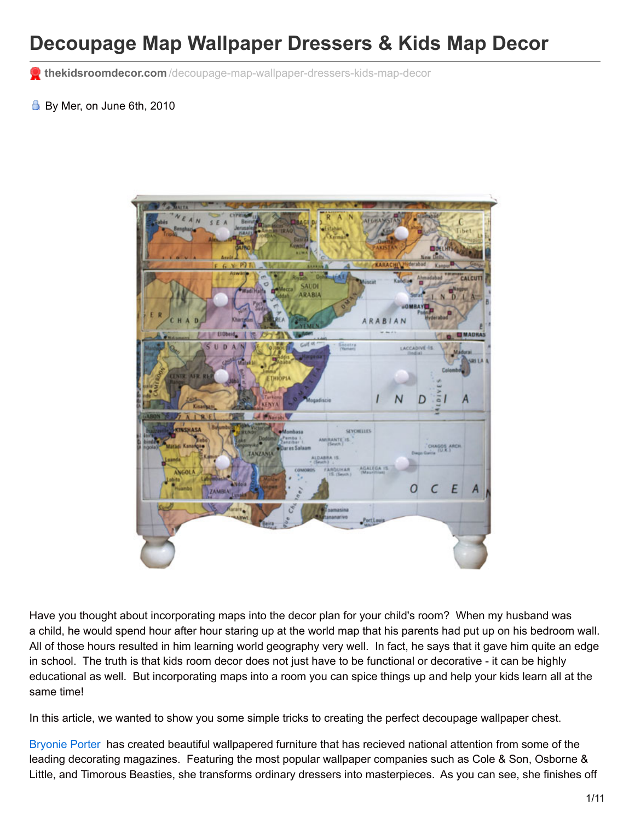## **Decoupage Map Wallpaper Dressers & Kids Map Decor**

**thekidsroomdecor.com** [/decoupage-map-wallpaper-dressers-kids-map-decor](http://thekidsroomdecor.com/decoupage-map-wallpaper-dressers-kids-map-decor)

By Mer, on June 6th, 2010



Have you thought about incorporating maps into the decor plan for your child's room? When my husband was a child, he would spend hour after hour staring up at the world map that his parents had put up on his bedroom wall. All of those hours resulted in him learning world geography very well. In fact, he says that it gave him quite an edge in school. The truth is that kids room decor does not just have to be functional or decorative - it can be highly educational as well. But incorporating maps into a room you can spice things up and help your kids learn all at the same time!

In this article, we wanted to show you some simple tricks to creating the perfect decoupage wallpaper chest.

[Bryonie](http://www.bryonieporter.com/) Porter has created beautiful wallpapered furniture that has recieved national attention from some of the leading decorating magazines. Featuring the most popular wallpaper companies such as Cole & Son, Osborne & Little, and Timorous Beasties, she transforms ordinary dressers into masterpieces. As you can see, she finishes off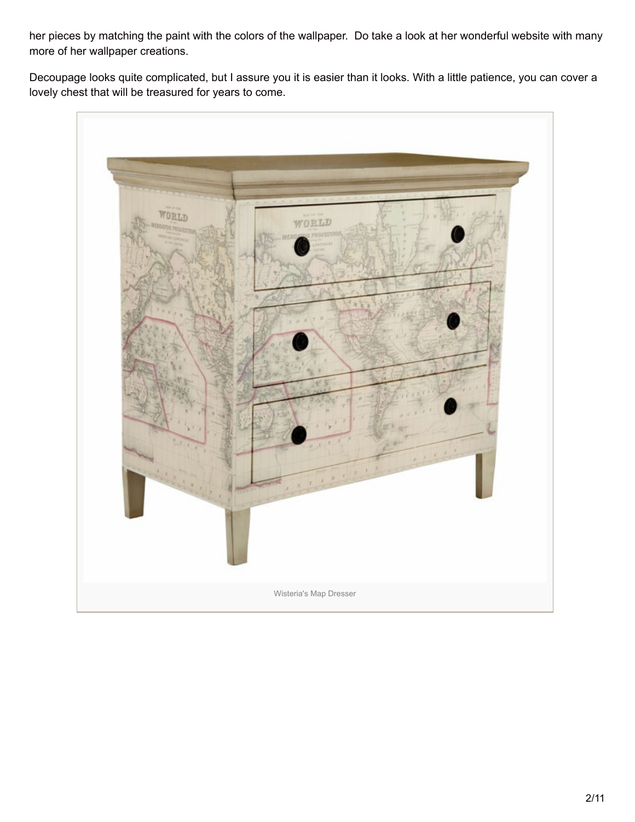her pieces by matching the paint with the colors of the wallpaper. Do take a look at her wonderful website with many more of her wallpaper creations.

Decoupage looks quite complicated, but I assure you it is easier than it looks. With a little patience, you can cover a lovely chest that will be treasured for years to come.

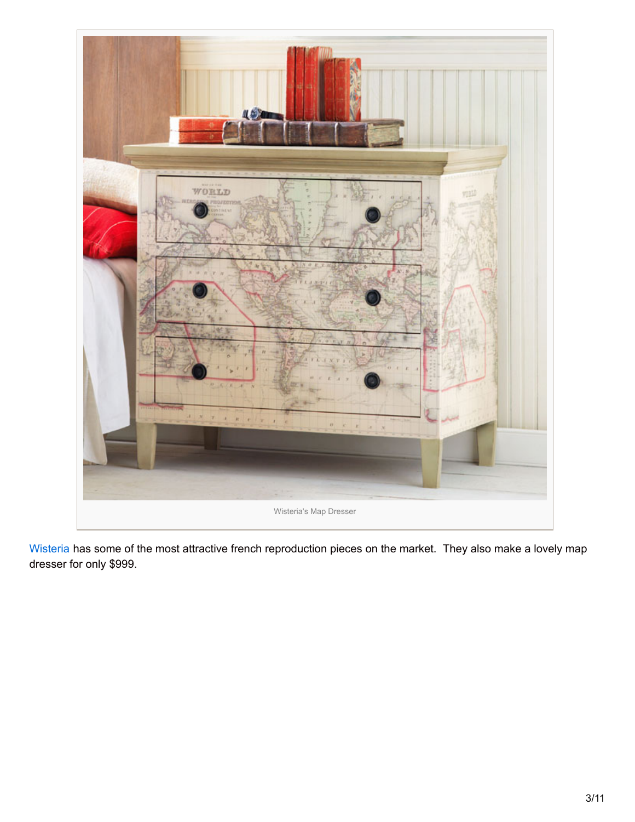

[Wisteria](http://www.wisteria.com/) has some of the most attractive french reproduction pieces on the market. They also make a lovely map dresser for only \$999.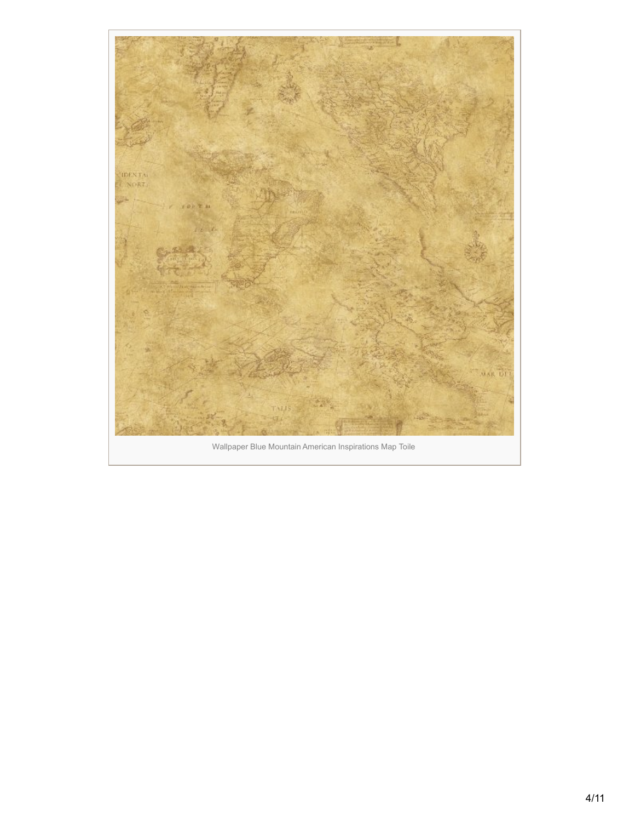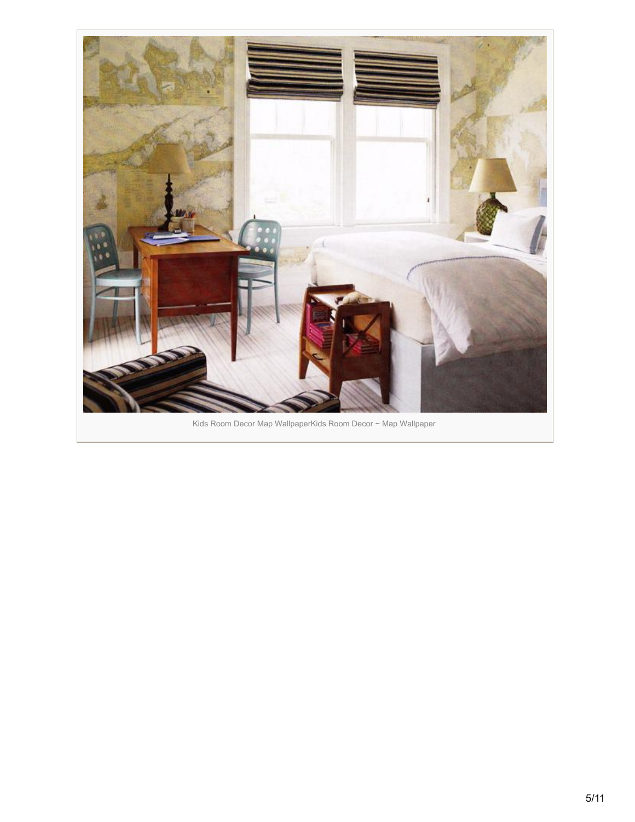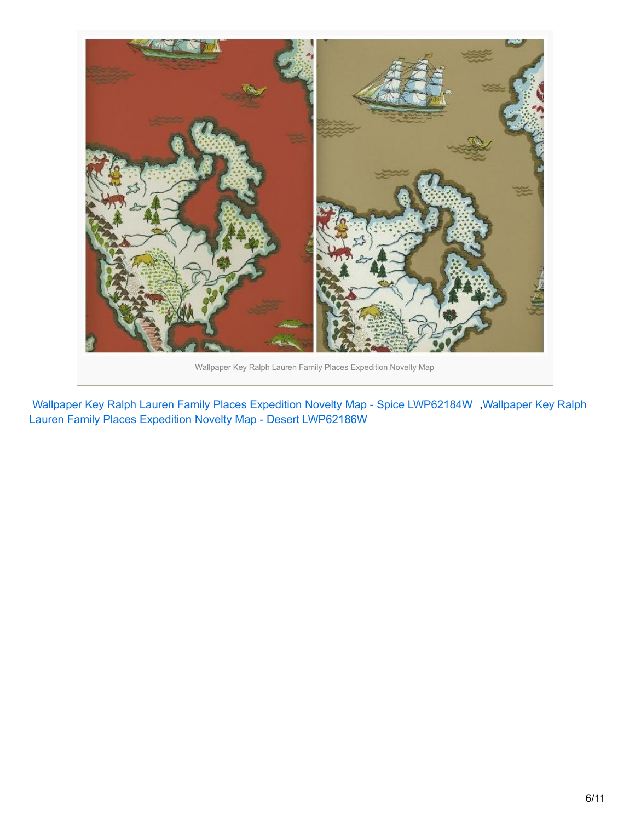

Wallpaper Key Ralph Lauren Family Places Expedition Novelty Map - Spice [LWP62184W](http://www.amazon.com/gp/product/B0032G2QZQ?ie=UTF8&tag=shatteparadi-20&linkCode=as2&camp=1789&creative=390957&creativeASIN=B0032G2QZQ) ,Wallpaper Key Ralph Lauren Family Places Expedition Novelty Map - Desert LWP62186W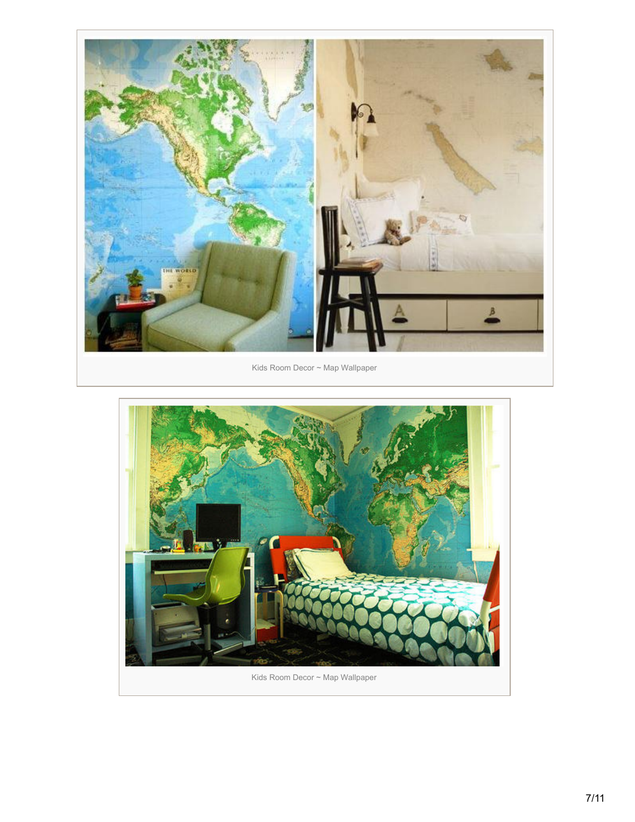

Kids Room Decor ~ Map Wallpaper

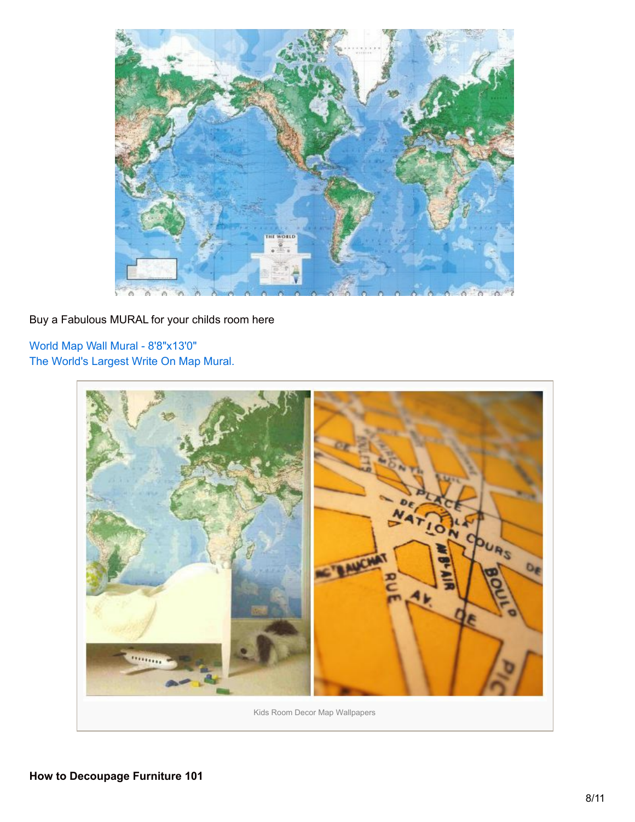

## Buy a Fabulous MURAL for your childs room here

World Map Wall Mural - [8'8"x13'0"](http://www.amazon.com/gp/product/B000RL9K08?ie=UTF8&tag=shatteparadi-20&linkCode=as2&camp=1789&creative=390957&creativeASIN=B000RL9K08) The World's [Largest](http://www.amazon.com/gp/product/B00149HEWI?ie=UTF8&tag=shatteparadi-20&linkCode=as2&camp=1789&creative=390957&creativeASIN=B00149HEWI) Write On Map Mural.

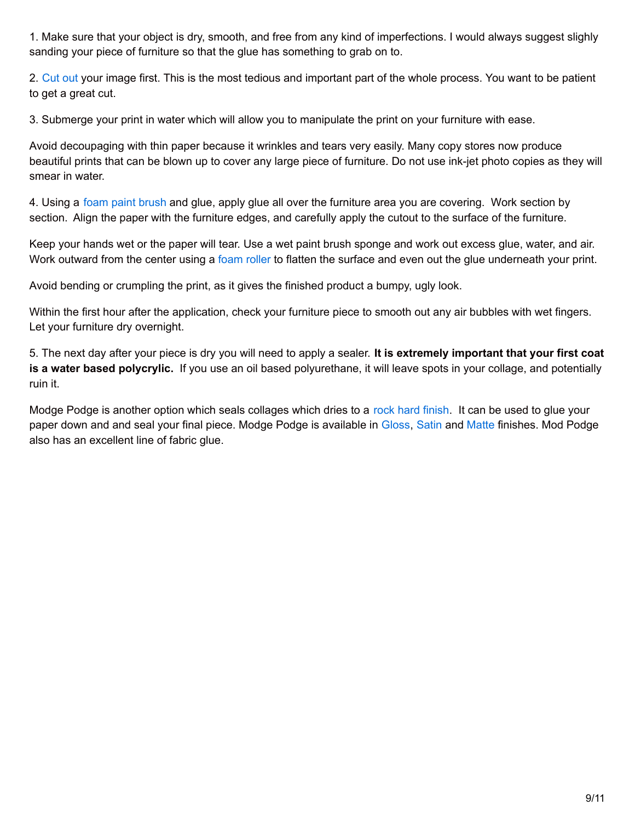1. Make sure that your object is dry, smooth, and free from any kind of imperfections. I would always suggest slighly sanding your piece of furniture so that the glue has something to grab on to.

2. [Cut](http://www.amazon.com/gp/product/B001CWDLCY?ie=UTF8&tag=shatteparadi-20&linkCode=as2&camp=1789&creative=390957&creativeASIN=B001CWDLCY) out your image first. This is the most tedious and important part of the whole process. You want to be patient to get a great cut.

3. Submerge your print in water which will allow you to manipulate the print on your furniture with ease.

Avoid decoupaging with thin paper because it wrinkles and tears very easily. Many copy stores now produce beautiful prints that can be blown up to cover any large piece of furniture. Do not use ink-jet photo copies as they will smear in water.

4. Using a foam paint [brush](http://www.amazon.com/gp/product/B000WWIDXM?ie=UTF8&tag=shatteparadi-20&linkCode=as2&camp=1789&creative=390957&creativeASIN=B000WWIDXM) and glue, apply glue all over the furniture area you are covering. Work section by section. Align the paper with the furniture edges, and carefully apply the cutout to the surface of the furniture.

Keep your hands wet or the paper will tear. Use a wet paint brush sponge and work out excess glue, water, and air. Work outward from the center using a [foam](http://www.amazon.com/gp/product/B000G0GNIC?ie=UTF8&tag=shatteparadi-20&linkCode=as2&camp=1789&creative=390957&creativeASIN=B000G0GNIC) roller to flatten the surface and even out the glue underneath your print.

Avoid bending or crumpling the print, as it gives the finished product a bumpy, ugly look.

Within the first hour after the application, check your furniture piece to smooth out any air bubbles with wet fingers. Let your furniture dry overnight.

5. The next day after your piece is dry you will need to apply a sealer. **It is extremely important that your first coat is a water based polycrylic.** If you use an oil based polyurethane, it will leave spots in your collage, and potentially ruin it.

Modge Podge is another option which seals collages which dries to a rock hard [finish](http://www.amazon.com/gp/product/B002L94RNY?ie=UTF8&tag=shatteparadi-20&linkCode=as2&camp=1789&creative=390957&creativeASIN=B002L94RNY). It can be used to glue your paper down and and seal your final piece. Modge Podge is available in [Gloss](http://www.amazon.com/gp/product/B00178QQJ8?ie=UTF8&tag=shatteparadi-20&linkCode=as2&camp=1789&creative=390957&creativeASIN=B00178QQJ8), [Satin](http://www.amazon.com/gp/product/B001681L5I?ie=UTF8&tag=shatteparadi-20&linkCode=as2&camp=1789&creative=390957&creativeASIN=B001681L5I) and [Matte](http://www.amazon.com/gp/product/B001IKES5O?ie=UTF8&tag=shatteparadi-20&linkCode=as2&camp=1789&creative=390957&creativeASIN=B001IKES5O) finishes. Mod Podge also has an excellent line of fabric glue.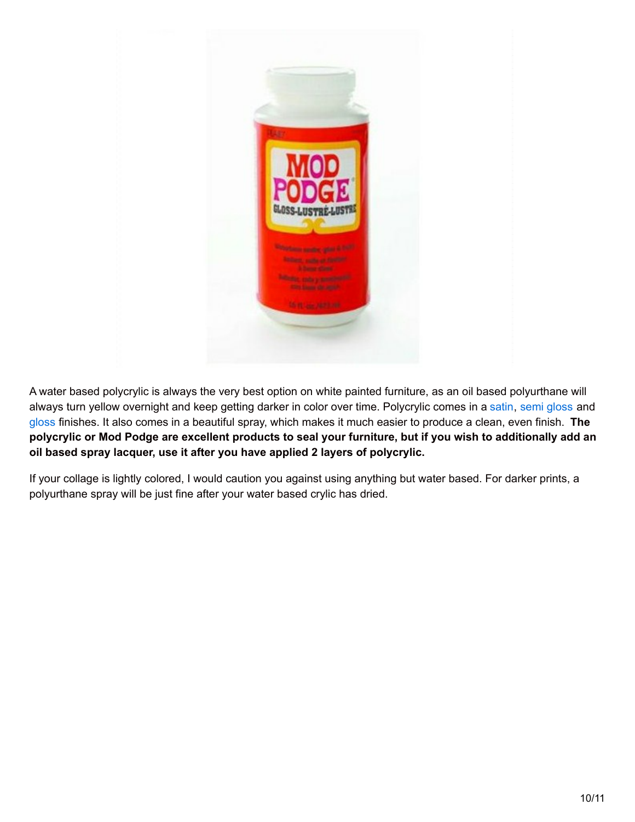

A water based polycrylic is always the very best option on white painted furniture, as an oil based polyurthane will always turn yellow overnight and keep getting darker in color over time. Polycrylic comes in a [satin](http://www.amazon.com/gp/product/B000BZYYH4?ie=UTF8&tag=shatteparadi-20&linkCode=as2&camp=1789&creative=390957&creativeASIN=B000BZYYH4), semi [gloss](http://www.amazon.com/gp/product/B001FBVG9M?ie=UTF8&tag=shatteparadi-20&linkCode=as2&camp=1789&creative=390957&creativeASIN=B001FBVG9M) and [gloss](http://www.amazon.com/gp/product/B001J1PQD0?ie=UTF8&tag=shatteparadi-20&linkCode=as2&camp=1789&creative=390957&creativeASIN=B001J1PQD0) finishes. It also comes in a beautiful spray, which makes it much easier to produce a clean, even finish. **The** polycrylic or Mod Podge are excellent products to seal your furniture, but if you wish to additionally add an **oil based spray lacquer, use it after you have applied 2 layers of polycrylic.**

If your collage is lightly colored, I would caution you against using anything but water based. For darker prints, a polyurthane spray will be just fine after your water based crylic has dried.